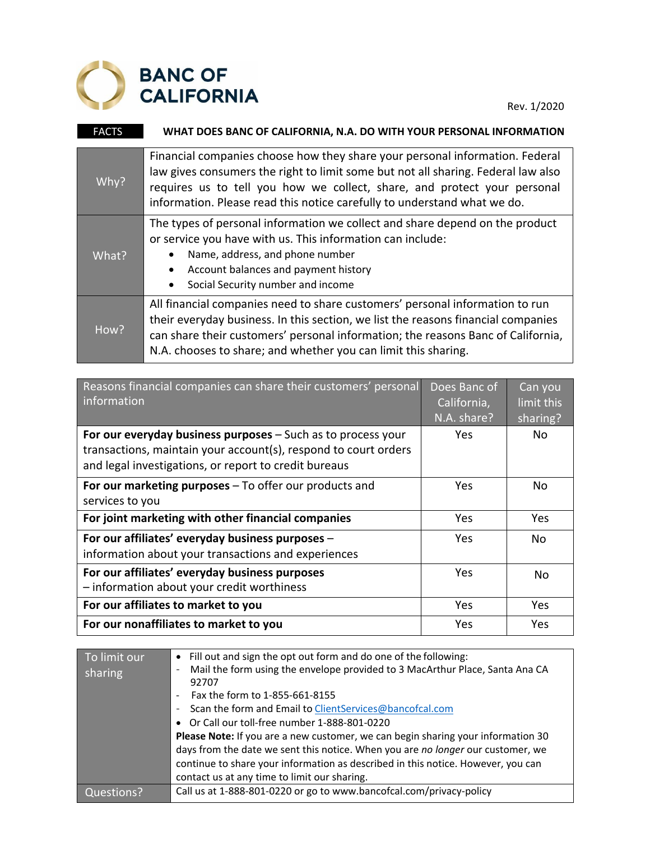

Rev. 1/2020

| <b>FACTS</b> | WHAT DOES BANC OF CALIFORNIA, N.A. DO WITH YOUR PERSONAL INFORMATION                                                                                                                                                                                                                                                      |
|--------------|---------------------------------------------------------------------------------------------------------------------------------------------------------------------------------------------------------------------------------------------------------------------------------------------------------------------------|
| Why?         | Financial companies choose how they share your personal information. Federal<br>law gives consumers the right to limit some but not all sharing. Federal law also<br>requires us to tell you how we collect, share, and protect your personal<br>information. Please read this notice carefully to understand what we do. |
| What?        | The types of personal information we collect and share depend on the product<br>or service you have with us. This information can include:<br>Name, address, and phone number<br>Account balances and payment history<br>٠<br>Social Security number and income                                                           |
| How?         | All financial companies need to share customers' personal information to run<br>their everyday business. In this section, we list the reasons financial companies<br>can share their customers' personal information; the reasons Banc of California,<br>N.A. chooses to share; and whether you can limit this sharing.   |

| Reasons financial companies can share their customers' personal<br>information                                                                                                           | Does Banc of<br>California,<br>N.A. share? | Can you<br>limit this<br>sharing? |
|------------------------------------------------------------------------------------------------------------------------------------------------------------------------------------------|--------------------------------------------|-----------------------------------|
| For our everyday business purposes - Such as to process your<br>transactions, maintain your account(s), respond to court orders<br>and legal investigations, or report to credit bureaus | Yes                                        | No.                               |
| For our marketing purposes – To offer our products and<br>services to you                                                                                                                | Yes                                        | No                                |
| For joint marketing with other financial companies                                                                                                                                       | Yes                                        | <b>Yes</b>                        |
| For our affiliates' everyday business purposes -<br>information about your transactions and experiences                                                                                  | Yes                                        | No.                               |
| For our affiliates' everyday business purposes<br>- information about your credit worthiness                                                                                             | Yes                                        | No                                |
| For our affiliates to market to you                                                                                                                                                      | Yes                                        | Yes.                              |
| For our nonaffiliates to market to you                                                                                                                                                   | Yes                                        | Yes                               |

| To limit our | Fill out and sign the opt out form and do one of the following:                       |  |  |
|--------------|---------------------------------------------------------------------------------------|--|--|
| sharing      | Mail the form using the envelope provided to 3 MacArthur Place, Santa Ana CA<br>92707 |  |  |
|              | Fax the form to 1-855-661-8155                                                        |  |  |
|              | Scan the form and Email to ClientServices@bancofcal.com                               |  |  |
|              | • Or Call our toll-free number 1-888-801-0220                                         |  |  |
|              | Please Note: If you are a new customer, we can begin sharing your information 30      |  |  |
|              | days from the date we sent this notice. When you are no longer our customer, we       |  |  |
|              | continue to share your information as described in this notice. However, you can      |  |  |
|              | contact us at any time to limit our sharing.                                          |  |  |
| Questions?   | Call us at 1-888-801-0220 or go to www.bancofcal.com/privacy-policy                   |  |  |